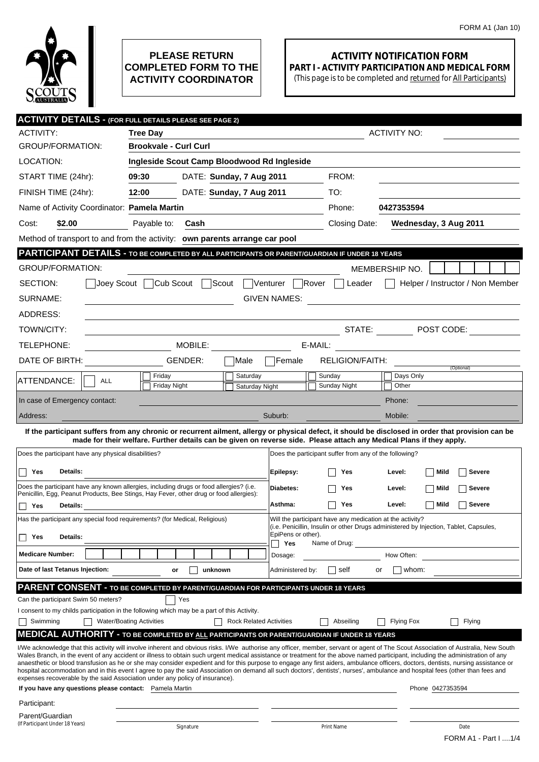## **ACTIVITY NOTIFICATION FORM PART I - ACTIVITY PARTICIPATION AND MEDICAL FORM**

(This page is to be completed and returned for All Participants)

| <b>ACTIVITY DETAILS - (FOR FULL DETAILS PLEASE SEE PAGE 2)</b>                                                                                                                                                                    |                                                                    |                                             |                                |                                                   |                                                        |                                                                                                                                                                                                                                                                                                                                                                                                                                                                                                                                                                                                                                                                                                                                                                    |  |  |  |  |
|-----------------------------------------------------------------------------------------------------------------------------------------------------------------------------------------------------------------------------------|--------------------------------------------------------------------|---------------------------------------------|--------------------------------|---------------------------------------------------|--------------------------------------------------------|--------------------------------------------------------------------------------------------------------------------------------------------------------------------------------------------------------------------------------------------------------------------------------------------------------------------------------------------------------------------------------------------------------------------------------------------------------------------------------------------------------------------------------------------------------------------------------------------------------------------------------------------------------------------------------------------------------------------------------------------------------------------|--|--|--|--|
| ACTIVITY:                                                                                                                                                                                                                         | <b>Tree Day</b>                                                    |                                             |                                | <b>ACTIVITY NO:</b>                               |                                                        |                                                                                                                                                                                                                                                                                                                                                                                                                                                                                                                                                                                                                                                                                                                                                                    |  |  |  |  |
| <b>GROUP/FORMATION:</b>                                                                                                                                                                                                           |                                                                    | <b>Brookvale - Curl Curl</b>                |                                |                                                   |                                                        |                                                                                                                                                                                                                                                                                                                                                                                                                                                                                                                                                                                                                                                                                                                                                                    |  |  |  |  |
| LOCATION:                                                                                                                                                                                                                         |                                                                    | Ingleside Scout Camp Bloodwood Rd Ingleside |                                |                                                   |                                                        |                                                                                                                                                                                                                                                                                                                                                                                                                                                                                                                                                                                                                                                                                                                                                                    |  |  |  |  |
| START TIME (24hr):                                                                                                                                                                                                                | 09:30                                                              | DATE: Sunday, 7 Aug 2011                    |                                |                                                   | FROM:                                                  |                                                                                                                                                                                                                                                                                                                                                                                                                                                                                                                                                                                                                                                                                                                                                                    |  |  |  |  |
| FINISH TIME (24hr):                                                                                                                                                                                                               | 12:00                                                              | DATE: Sunday, 7 Aug 2011                    |                                |                                                   | TO:                                                    |                                                                                                                                                                                                                                                                                                                                                                                                                                                                                                                                                                                                                                                                                                                                                                    |  |  |  |  |
| Name of Activity Coordinator: Pamela Martin                                                                                                                                                                                       |                                                                    |                                             |                                |                                                   | Phone:                                                 | 0427353594                                                                                                                                                                                                                                                                                                                                                                                                                                                                                                                                                                                                                                                                                                                                                         |  |  |  |  |
| \$2.00<br>Cost:                                                                                                                                                                                                                   | Payable to:                                                        | Cash                                        |                                |                                                   | Closing Date:                                          | Wednesday, 3 Aug 2011                                                                                                                                                                                                                                                                                                                                                                                                                                                                                                                                                                                                                                                                                                                                              |  |  |  |  |
| Method of transport to and from the activity: own parents arrange car pool                                                                                                                                                        |                                                                    |                                             |                                |                                                   |                                                        |                                                                                                                                                                                                                                                                                                                                                                                                                                                                                                                                                                                                                                                                                                                                                                    |  |  |  |  |
| PARTICIPANT DETAILS - TO BE COMPLETED BY ALL PARTICIPANTS OR PARENT/GUARDIAN IF UNDER 18 YEARS                                                                                                                                    |                                                                    |                                             |                                |                                                   |                                                        |                                                                                                                                                                                                                                                                                                                                                                                                                                                                                                                                                                                                                                                                                                                                                                    |  |  |  |  |
| <b>GROUP/FORMATION:</b>                                                                                                                                                                                                           |                                                                    |                                             |                                |                                                   |                                                        | MEMBERSHIP NO.                                                                                                                                                                                                                                                                                                                                                                                                                                                                                                                                                                                                                                                                                                                                                     |  |  |  |  |
| Cub Scout<br><sup>1</sup> Scout<br>SECTION:<br>Joey Scout<br><b>Venturer</b><br>lRover<br>Helper / Instructor / Non Member<br>Leader                                                                                              |                                                                    |                                             |                                |                                                   |                                                        |                                                                                                                                                                                                                                                                                                                                                                                                                                                                                                                                                                                                                                                                                                                                                                    |  |  |  |  |
| SURNAME:<br><b>GIVEN NAMES:</b><br><u>a sa barang sa mga barang sa mga barang sa mga barang sa mga barang sa mga barang sa mga barang sa mga barang sa </u>                                                                       |                                                                    |                                             |                                |                                                   |                                                        |                                                                                                                                                                                                                                                                                                                                                                                                                                                                                                                                                                                                                                                                                                                                                                    |  |  |  |  |
| ADDRESS:                                                                                                                                                                                                                          |                                                                    |                                             |                                |                                                   |                                                        |                                                                                                                                                                                                                                                                                                                                                                                                                                                                                                                                                                                                                                                                                                                                                                    |  |  |  |  |
| TOWN/CITY:                                                                                                                                                                                                                        |                                                                    |                                             |                                |                                                   |                                                        | STATE: DE POST CODE:                                                                                                                                                                                                                                                                                                                                                                                                                                                                                                                                                                                                                                                                                                                                               |  |  |  |  |
| TELEPHONE:                                                                                                                                                                                                                        | MOBILE:<br>E-MAIL:<br>the control of the control of the control of |                                             |                                |                                                   |                                                        |                                                                                                                                                                                                                                                                                                                                                                                                                                                                                                                                                                                                                                                                                                                                                                    |  |  |  |  |
| DATE OF BIRTH:                                                                                                                                                                                                                    |                                                                    | GENDER:                                     | Male                           | Female                                            | RELIGION/FAITH:                                        |                                                                                                                                                                                                                                                                                                                                                                                                                                                                                                                                                                                                                                                                                                                                                                    |  |  |  |  |
| ATTENDANCE:                                                                                                                                                                                                                       | Friday<br><b>ALL</b>                                               |                                             | Saturday                       |                                                   | Sunday                                                 | (Optional)<br>Days Only                                                                                                                                                                                                                                                                                                                                                                                                                                                                                                                                                                                                                                                                                                                                            |  |  |  |  |
|                                                                                                                                                                                                                                   | Friday Night                                                       |                                             | Saturday Night                 |                                                   | Sunday Night                                           | Other                                                                                                                                                                                                                                                                                                                                                                                                                                                                                                                                                                                                                                                                                                                                                              |  |  |  |  |
| In case of Emergency contact:                                                                                                                                                                                                     |                                                                    |                                             |                                |                                                   |                                                        | Phone:                                                                                                                                                                                                                                                                                                                                                                                                                                                                                                                                                                                                                                                                                                                                                             |  |  |  |  |
| Address:                                                                                                                                                                                                                          |                                                                    |                                             |                                | Suburb:                                           |                                                        | Mobile:                                                                                                                                                                                                                                                                                                                                                                                                                                                                                                                                                                                                                                                                                                                                                            |  |  |  |  |
|                                                                                                                                                                                                                                   |                                                                    |                                             |                                |                                                   |                                                        | If the participant suffers from any chronic or recurrent ailment, allergy or physical defect, it should be disclosed in order that provision can be<br>made for their welfare. Further details can be given on reverse side. Please attach any Medical Plans if they apply.                                                                                                                                                                                                                                                                                                                                                                                                                                                                                        |  |  |  |  |
| Does the participant have any physical disabilities?                                                                                                                                                                              |                                                                    |                                             |                                |                                                   | Does the participant suffer from any of the following? |                                                                                                                                                                                                                                                                                                                                                                                                                                                                                                                                                                                                                                                                                                                                                                    |  |  |  |  |
|                                                                                                                                                                                                                                   |                                                                    |                                             |                                |                                                   |                                                        |                                                                                                                                                                                                                                                                                                                                                                                                                                                                                                                                                                                                                                                                                                                                                                    |  |  |  |  |
| Yes<br>Details:<br>$\Box$<br>Does the participant have any known allergies, including drugs or food allergies? (i.e.                                                                                                              |                                                                    |                                             |                                | Epilepsy:                                         | Yes                                                    | Mild<br><b>Severe</b><br>Level:                                                                                                                                                                                                                                                                                                                                                                                                                                                                                                                                                                                                                                                                                                                                    |  |  |  |  |
| Penicillin, Egg, Peanut Products, Bee Stings, Hay Fever, other drug or food allergies):                                                                                                                                           |                                                                    | Diabetes:                                   | Yes                            | Mild<br><b>Severe</b><br>Level:                   |                                                        |                                                                                                                                                                                                                                                                                                                                                                                                                                                                                                                                                                                                                                                                                                                                                                    |  |  |  |  |
| Yes<br>Details:                                                                                                                                                                                                                   |                                                                    |                                             |                                | Asthma:<br>Mild<br><b>Severe</b><br>Yes<br>Level: |                                                        |                                                                                                                                                                                                                                                                                                                                                                                                                                                                                                                                                                                                                                                                                                                                                                    |  |  |  |  |
| Has the participant any special food requirements? (for Medical, Religious)<br>Will the participant have any medication at the activity?<br>(i.e. Penicillin, Insulin or other Drugs administered by Injection, Tablet, Capsules, |                                                                    |                                             |                                |                                                   |                                                        |                                                                                                                                                                                                                                                                                                                                                                                                                                                                                                                                                                                                                                                                                                                                                                    |  |  |  |  |
| Details:<br>Yes                                                                                                                                                                                                                   |                                                                    |                                             |                                | EpiPens or other).<br>Yes                         | Name of Drug:                                          |                                                                                                                                                                                                                                                                                                                                                                                                                                                                                                                                                                                                                                                                                                                                                                    |  |  |  |  |
| <b>Medicare Number:</b>                                                                                                                                                                                                           |                                                                    |                                             |                                | Dosage:                                           |                                                        | How Often:                                                                                                                                                                                                                                                                                                                                                                                                                                                                                                                                                                                                                                                                                                                                                         |  |  |  |  |
| Date of last Tetanus Injection:                                                                                                                                                                                                   | or                                                                 | unknown                                     |                                | Administered by:                                  | self                                                   | whom:<br>or                                                                                                                                                                                                                                                                                                                                                                                                                                                                                                                                                                                                                                                                                                                                                        |  |  |  |  |
| PARENT CONSENT - TO BE COMPLETED BY PARENT/GUARDIAN FOR PARTICIPANTS UNDER 18 YEARS                                                                                                                                               |                                                                    |                                             |                                |                                                   |                                                        |                                                                                                                                                                                                                                                                                                                                                                                                                                                                                                                                                                                                                                                                                                                                                                    |  |  |  |  |
| Can the participant Swim 50 meters?                                                                                                                                                                                               |                                                                    | Yes                                         |                                |                                                   |                                                        |                                                                                                                                                                                                                                                                                                                                                                                                                                                                                                                                                                                                                                                                                                                                                                    |  |  |  |  |
| I consent to my childs participation in the following which may be a part of this Activity.                                                                                                                                       |                                                                    |                                             |                                |                                                   |                                                        |                                                                                                                                                                                                                                                                                                                                                                                                                                                                                                                                                                                                                                                                                                                                                                    |  |  |  |  |
| Swimming<br><b>MEDICAL AUTHORITY - TO BE COMPLETED BY ALL PARTICIPANTS OR PARENT/GUARDIAN IF UNDER 18 YEARS</b>                                                                                                                   | <b>Water/Boating Activities</b>                                    |                                             | <b>Rock Related Activities</b> |                                                   | Abseiling                                              | Flying<br><b>Flying Fox</b>                                                                                                                                                                                                                                                                                                                                                                                                                                                                                                                                                                                                                                                                                                                                        |  |  |  |  |
| expenses recoverable by the said Association under any policy of insurance).<br>If you have any questions please contact: Pamela Martin                                                                                           |                                                                    |                                             |                                |                                                   |                                                        | I/We acknowledge that this activity will involve inherent and obvious risks. I/We authorise any officer, member, servant or agent of The Scout Association of Australia, New South<br>Wales Branch, in the event of any accident or illness to obtain such urgent medical assistance or treatment for the above named participant, including the administration of any<br>anaesthetic or blood transfusion as he or she may consider expedient and for this purpose to engage any first aiders, ambulance officers, doctors, dentists, nursing assistance or<br>hospital accommodation and in this event I agree to pay the said Association on demand all such doctors', dentists', nurses', ambulance and hospital fees (other than fees and<br>Phone 0427353594 |  |  |  |  |
| Participant:                                                                                                                                                                                                                      |                                                                    |                                             |                                |                                                   |                                                        |                                                                                                                                                                                                                                                                                                                                                                                                                                                                                                                                                                                                                                                                                                                                                                    |  |  |  |  |
| Parent/Guardian                                                                                                                                                                                                                   |                                                                    |                                             |                                |                                                   |                                                        |                                                                                                                                                                                                                                                                                                                                                                                                                                                                                                                                                                                                                                                                                                                                                                    |  |  |  |  |
| (If Participant Under 18 Years)                                                                                                                                                                                                   | Signature                                                          |                                             |                                | Date<br>Print Name<br>FORM A1 - Part I  1/4       |                                                        |                                                                                                                                                                                                                                                                                                                                                                                                                                                                                                                                                                                                                                                                                                                                                                    |  |  |  |  |